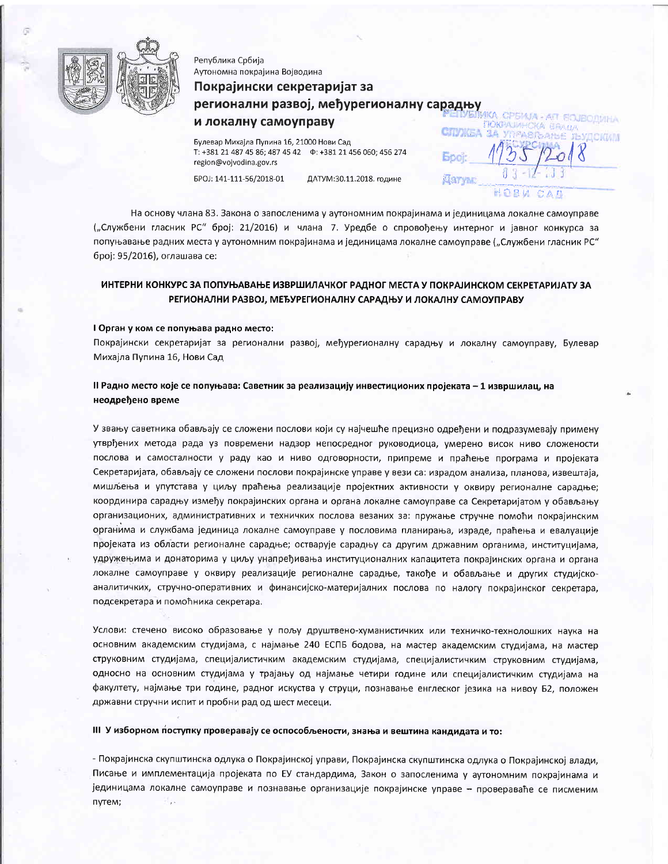

Република Србија Аутономна покрајина Војводина

# Покрајински секретаријат за регионални развој, међурегионалну сарадњу и локалну самоуправу **CITY/MEA**

Булевар Михајла Пупина 16, 21000 Нови Сад region@vojvodina.gov.rs

EPOJ: 141-111-56/2018-01

ДАТУМ:30.11.2018. године

**Book** 

**Dervin** 

НОВИ

**AIT SOJBORVIHA** 

На основу члана 83. Закона о запосленима у аутономним покрајинама и јединицама локалне самоуправе ("Службени гласник РС" број: 21/2016) и члана 7. Уредбе о спровођењу интерног и јавног конкурса за попуњавање радних места у аутономним покрајинама и јединицама локалне самоуправе ("Службени гласник РС" број: 95/2016), оглашава се:

# ИНТЕРНИ КОНКУРС ЗА ПОПУЊАВАЊЕ ИЗВРШИЛАЧКОГ РАДНОГ МЕСТА У ПОКРАЈИНСКОМ СЕКРЕТАРИЈАТУ ЗА РЕГИОНАЛНИ РАЗВОЈ, МЕЂУРЕГИОНАЛНУ САРАДЊУ И ЛОКАЛНУ САМОУПРАВУ

### I Орган у ком се попуњава радно место:

Покрајински секретаријат за регионални развој, међурегионалну сарадњу и локалну самоуправу, Булевар Михајла Пупина 16, Нови Сад

# II Радно место које се попуњава: Саветник за реализацију инвестиционих пројеката - 1 извршилац, на неодређено време

У звању саветника обављају се сложени послови који су најчешће прецизно одређени и подразумевају примену утврђених метода рада уз повремени надзор непосредног руководиоца, умерено висок ниво сложености послова и самосталности у раду као и ниво одговорности, припреме и праћење програма и пројеката Секретаријата, обављају се сложени послови покрајинске управе у вези са: израдом анализа, планова, извештаја, мишљења и упутстава у циљу праћења реализације пројектних активности у оквиру регионалне сарадње; координира сарадњу између покрајинских органа и органа локалне самоуправе са Секретаријатом у обављању организационих, административних и техничких послова везаних за: пружање стручне помоћи покрајинским органима и службама јединица локалне самоуправе у пословима планирања, израде, праћења и евалуације пројеката из области регионалне сарадње; остварује сарадњу са другим државним органима, институцијама, удружењима и донаторима у циљу унапређивања институционалних капацитета покрајинских органа и органа локалне самоуправе у оквиру реализације регионалне сарадње, такође и обављање и других студијскоаналитичких, стручно-оперативних и финансијско-материјалних послова по налогу покрајинског секретара, подсекретара и помоћника секретара.

Услови: стечено високо образовање у пољу друштвено-хуманистичких или техничко-технолошких наука на основним академским студијама, с најмање 240 ЕСПБ бодова, на мастер академским студијама, на мастер струковним студијама, специјалистичким академским студијама, специјалистичким струковним студијама, односно на основним студијама у трајању од најмање четири године или специјалистичким студијама на факултету, најмање три године, радног искуства у струци, познавање енглеског језика на нивоу Б2, положен државни стручни испит и пробни рад од шест месеци.

# III У изборном поступку проверавају се оспособљености, знања и вештина кандидата и то:

- Покрајинска скупштинска одлука о Покрајинској управи, Покрајинска скупштинска одлука о Покрајинској влади, Писање и имплементација пројеката по ЕУ стандардима, Закон о запосленима у аутономним покрајинама и јединицама локалне самоуправе и познавање организације покрајинске управе - провераваће се писменим путем; Ţ.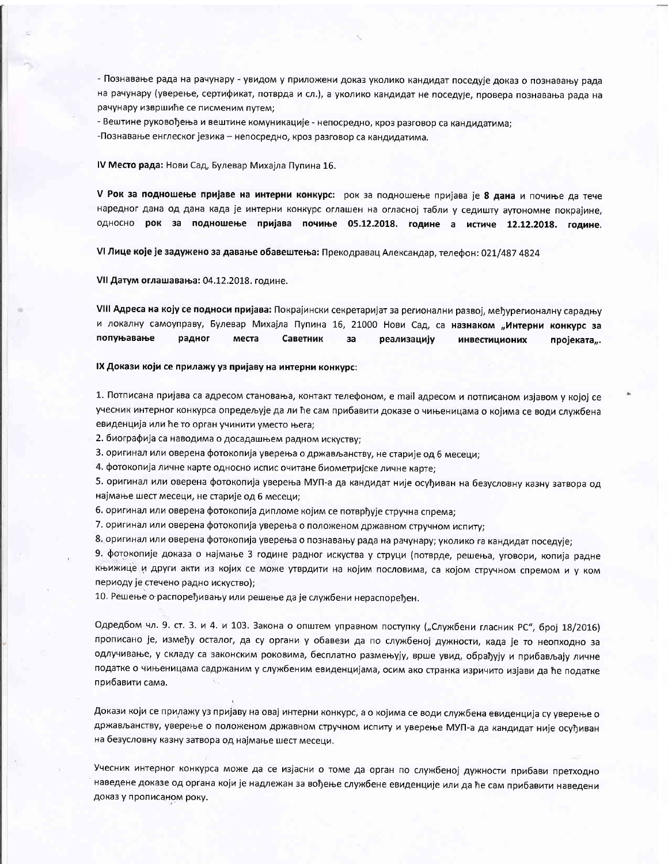- Познавање рада на рачунару - увидом у приложени доказ уколико кандидат поседује доказ о познавању рада на рачунару (уверење, сертификат, потврда и сл.), а уколико кандидат не поседује, провера познавања рада на рачунару извршиће се писменим путем;

- Вештине руковођења и вештине комуникације - непосредно, кроз разговор са кандидатима; -Познавање енглеског језика - непосредно, кроз разговор са кандидатима.

#### IV Место рада: Нови Сад, Булевар Михајла Пупина 16.

V Рок за подношење пријаве на интерни конкурс: рок за подношење пријава је 8 дана и почиње да тече наредног дана од дана када је интерни конкурс оглашен на огласној табли у седишту аутономне покрајине, односно рок за подношење пријава почиње 05.12.2018. године а истиче 12.12.2018. године.

VI Лице које је задужено за давање обавештења: Прекодравац Александар, телефон: 021/487 4824

VII Датум оглашавања: 04.12.2018. године.

VIII Адреса на коју се подноси пријава: Покрајински секретаријат за регионални развој, међурегионалну сарадњу и локалну самоуправу, Булевар Михајла Пупина 16, 21000 Нови Сад, са назнаком "Интерни конкурс за попуњавање радног места Саветник за реализацију инвестиционих пројеката".

### IX Докази који се прилажу уз пријаву на интерни конкурс:

1. Потписана пријава са адресом становања, контакт телефоном, е mail адресом и потписаном изјавом у којој се учесник интерног конкурса опредељује да ли ће сам прибавити доказе о чињеницама о којима се води службена евиденција или ће то орган учинити уместо њега;

2. биографија са наводима о досадашњем радном искуству;

3. оригинал или оверена фотокопија уверења о држављанству, не старије од 6 месеци;

4. фотокопија личне карте односно испис очитане биометријске личне карте;

5. оригинал или оверена фотокопија уверења МУП-а да кандидат није осуђиван на безусловну казну затвора од најмање шест месеци, не старије од 6 месеци;

6. оригинал или оверена фотокопија дипломе којим се потврђује стручна спрема;

7. оригинал или оверена фотокопија уверења о положеном државном стручном испиту;

8. оригинал или оверена фотокопија уверења о познавању рада на рачунару; уколико га кандидат поседује;

9. фотокопије доказа о најмање 3 године радног искуства у струци (потврде, решења, уговори, копија радне књижице и други акти из којих се може утврдити на којим пословима, са којом стручном спремом и у ком периоду је стечено радно искуство);

10. Решење о распоређивању или решење да је службени нераспоређен.

Одредбом чл. 9. ст. 3. и 4. и 103. Закона о општем управном поступку ("Службени гласник РС", број 18/2016) прописано је, између осталог, да су органи у обавези да по службеној дужности, када је то неопходно за одлучивање, у складу са законским роковима, бесплатно размењују, врше увид, обрађују и прибављају личне податке о чињеницама садржаним у службеним евиденцијама, осим ако странка изричито изјави да ће податке прибавити сама.

Докази који се прилажу уз пријаву на овај интерни конкурс, а о којима се води службена евиденција су уверење о држављанству, уверење о положеном државном стручном испиту и уверење МУП-а да кандидат није осуђиван на безусловну казну затвора од најмање шест месеци.

Учесник интерног конкурса може да се изјасни о томе да орган по службеној дужности прибави претходно наведене доказе од органа који је надлежан за вођење службене евиденције или да ће сам прибавити наведени доказ у прописаном року.